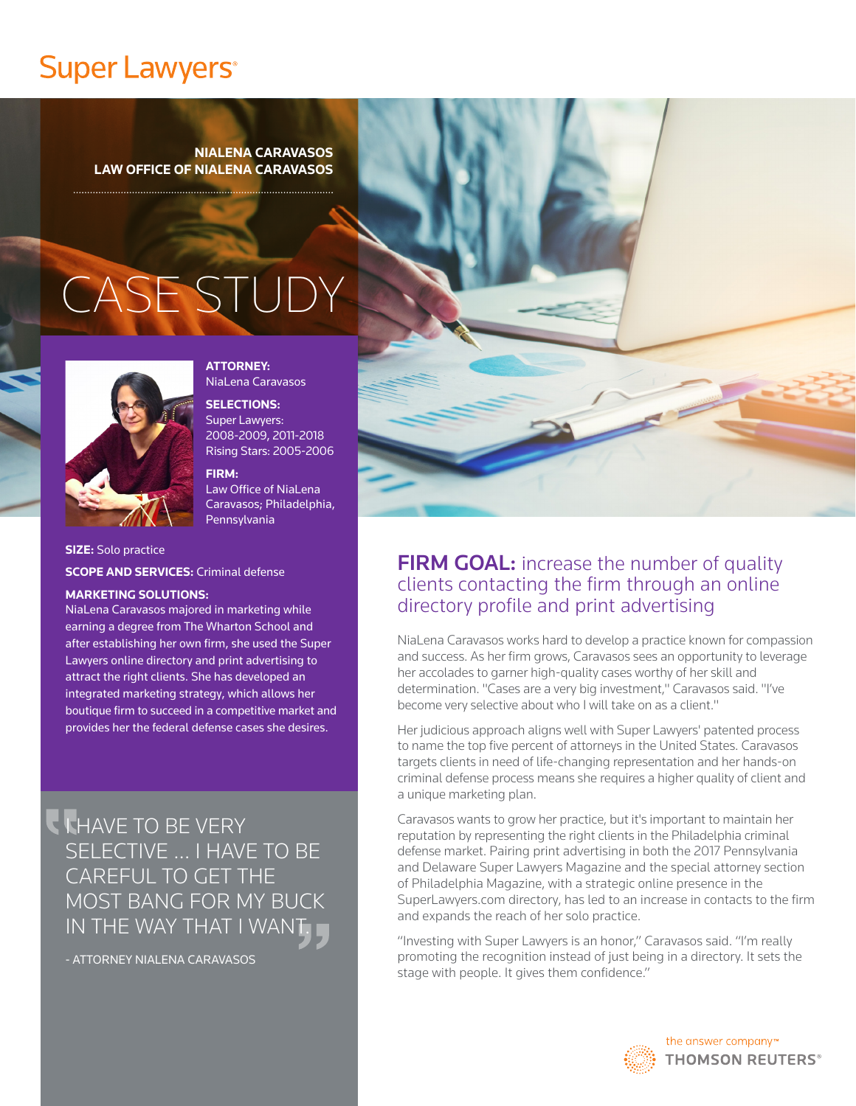# **Super Lawyers**<sup>®</sup>

**NIALENA CARAVASOS LAW OFFICE OF NIALENA CARAVASOS**

# CASE STUDY



**ATTORNEY:** NiaLena Caravasos

**SELECTIONS:**

Super Lawyers: 2008-2009, 2011-2018 Rising Stars: 2005-2006

**FIRM:** Law Office of NiaLena Caravasos; Philadelphia, Pennsylvania

**SIZE:** Solo practice **SCOPE AND SERVICES:** Criminal defense

#### **MARKETING SOLUTIONS:**

NiaLena Caravasos majored in marketing while earning a degree from The Wharton School and after establishing her own firm, she used the Super Lawyers online directory and print advertising to attract the right clients. She has developed an integrated marketing strategy, which allows her boutique firm to succeed in a competitive market and provides her the federal defense cases she desires.

I HAVE TO BE VERY SELECTIVE ... I HAVE TO BE CAREFUL TO GET THE MOST BANG FOR MY BUCK IN THE WAY THAT I WANT.

- ATTORNEY NIALENA CARAVASOS



#### **FIRM GOAL:** increase the number of quality clients contacting the firm through an online directory profile and print advertising

NiaLena Caravasos works hard to develop a practice known for compassion and success. As her firm grows, Caravasos sees an opportunity to leverage her accolades to garner high-quality cases worthy of her skill and determination. "Cases are a very big investment," Caravasos said. "I've become very selective about who I will take on as a client."

Her judicious approach aligns well with Super Lawyers' patented process to name the top five percent of attorneys in the United States. Caravasos targets clients in need of life-changing representation and her hands-on criminal defense process means she requires a higher quality of client and a unique marketing plan.

Caravasos wants to grow her practice, but it's important to maintain her reputation by representing the right clients in the Philadelphia criminal defense market. Pairing print advertising in both the 2017 Pennsylvania and Delaware Super Lawyers Magazine and the special attorney section of Philadelphia Magazine, with a strategic online presence in the SuperLawyers.com directory, has led to an increase in contacts to the firm and expands the reach of her solo practice.

"Investing with Super Lawyers is an honor," Caravasos said. "I'm really promoting the recognition instead of just being in a directory. It sets the stage with people. It gives them confidence."